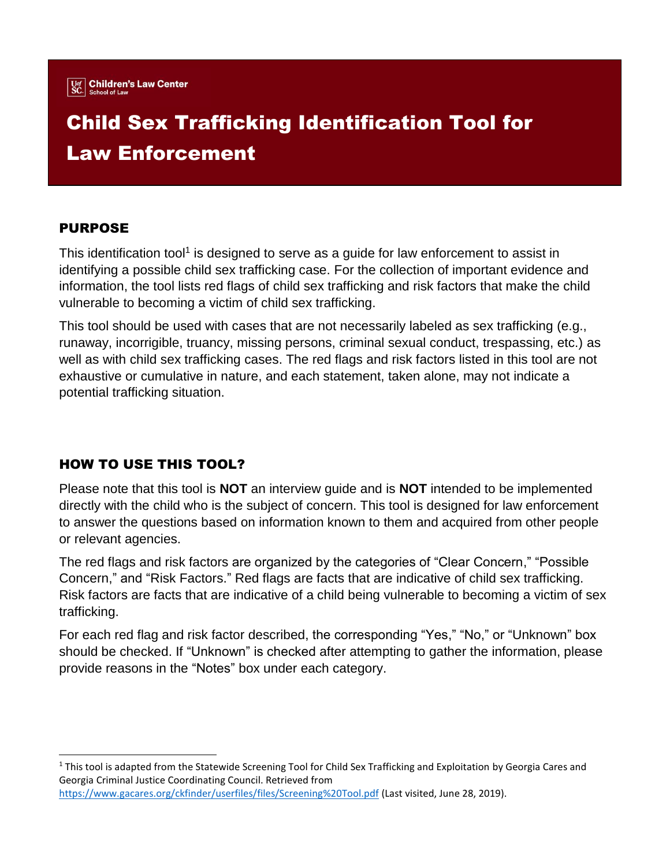

# Child Sex Trafficking Identification Tool for Law Enforcement

## PURPOSE

 $\overline{a}$ 

This identification tool<sup>1</sup> is designed to serve as a guide for law enforcement to assist in identifying a possible child sex trafficking case. For the collection of important evidence and information, the tool lists red flags of child sex trafficking and risk factors that make the child vulnerable to becoming a victim of child sex trafficking.

This tool should be used with cases that are not necessarily labeled as sex trafficking (e.g., runaway, incorrigible, truancy, missing persons, criminal sexual conduct, trespassing, etc.) as well as with child sex trafficking cases. The red flags and risk factors listed in this tool are not exhaustive or cumulative in nature, and each statement, taken alone, may not indicate a potential trafficking situation.

## HOW TO USE THIS TOOL?

Please note that this tool is **NOT** an interview guide and is **NOT** intended to be implemented directly with the child who is the subject of concern. This tool is designed for law enforcement to answer the questions based on information known to them and acquired from other people or relevant agencies.

The red flags and risk factors are organized by the categories of "Clear Concern," "Possible Concern," and "Risk Factors." Red flags are facts that are indicative of child sex trafficking. Risk factors are facts that are indicative of a child being vulnerable to becoming a victim of sex trafficking.

For each red flag and risk factor described, the corresponding "Yes," "No," or "Unknown" box should be checked. If "Unknown" is checked after attempting to gather the information, please provide reasons in the "Notes" box under each category.

 $1$  This tool is adapted from the Statewide Screening Tool for Child Sex Trafficking and Exploitation by Georgia Cares and Georgia Criminal Justice Coordinating Council. Retrieved from <https://www.gacares.org/ckfinder/userfiles/files/Screening%20Tool.pdf> (Last visited, June 28, 2019).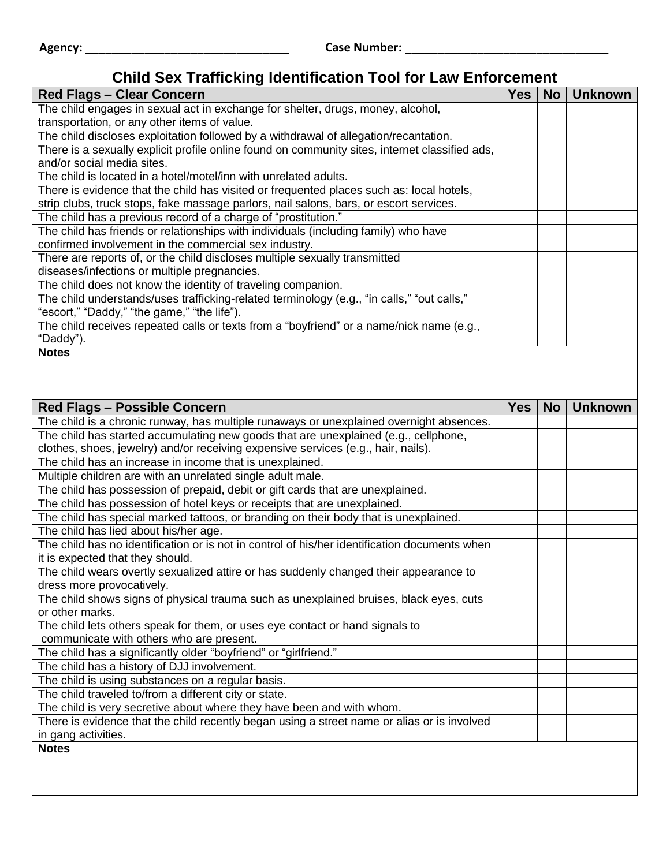## **Child Sex Trafficking Identification Tool for Law Enforcement**

| <b>Red Flags - Clear Concern</b>                                                               | <b>Yes</b> | <b>No</b> | <b>Unknown</b> |
|------------------------------------------------------------------------------------------------|------------|-----------|----------------|
|                                                                                                |            |           |                |
| The child engages in sexual act in exchange for shelter, drugs, money, alcohol,                |            |           |                |
| transportation, or any other items of value.                                                   |            |           |                |
| The child discloses exploitation followed by a withdrawal of allegation/recantation.           |            |           |                |
| There is a sexually explicit profile online found on community sites, internet classified ads, |            |           |                |
| and/or social media sites.                                                                     |            |           |                |
| The child is located in a hotel/motel/inn with unrelated adults.                               |            |           |                |
| There is evidence that the child has visited or frequented places such as: local hotels,       |            |           |                |
| strip clubs, truck stops, fake massage parlors, nail salons, bars, or escort services.         |            |           |                |
| The child has a previous record of a charge of "prostitution."                                 |            |           |                |
| The child has friends or relationships with individuals (including family) who have            |            |           |                |
| confirmed involvement in the commercial sex industry.                                          |            |           |                |
| There are reports of, or the child discloses multiple sexually transmitted                     |            |           |                |
| diseases/infections or multiple pregnancies.                                                   |            |           |                |
| The child does not know the identity of traveling companion.                                   |            |           |                |
| The child understands/uses trafficking-related terminology (e.g., "in calls," "out calls,"     |            |           |                |
| "escort," "Daddy," "the game," "the life").                                                    |            |           |                |
| The child receives repeated calls or texts from a "boyfriend" or a name/nick name (e.g.,       |            |           |                |
| "Daddy").                                                                                      |            |           |                |
| <b>Notes</b>                                                                                   |            |           |                |
|                                                                                                |            |           |                |
|                                                                                                |            |           |                |
|                                                                                                |            |           |                |
| <b>Red Flags - Possible Concern</b>                                                            | <b>Yes</b> | <b>No</b> | <b>Unknown</b> |
| The child is a chronic runway, has multiple runaways or unexplained overnight absences.        |            |           |                |
| The child has started accumulating new goods that are unexplained (e.g., cellphone,            |            |           |                |
| clothes, shoes, jewelry) and/or receiving expensive services (e.g., hair, nails).              |            |           |                |
| The child has an increase in income that is unexplained.                                       |            |           |                |
| Multiple children are with an unrelated single adult male.                                     |            |           |                |
| The child has possession of prepaid, debit or gift cards that are unexplained.                 |            |           |                |
| The child has possession of hotel keys or receipts that are unexplained.                       |            |           |                |
| The child has special marked tattoos, or branding on their body that is unexplained.           |            |           |                |
| The child has lied about his/her age.                                                          |            |           |                |
| The child has no identification or is not in control of his/her identification documents when  |            |           |                |
| it is expected that they should.                                                               |            |           |                |
| The child wears overtly sexualized attire or has suddenly changed their appearance to          |            |           |                |
| dress more provocatively.                                                                      |            |           |                |
| The child shows signs of physical trauma such as unexplained bruises, black eyes, cuts         |            |           |                |
| or other marks.                                                                                |            |           |                |
| The child lets others speak for them, or uses eye contact or hand signals to                   |            |           |                |
| communicate with others who are present.                                                       |            |           |                |
| The child has a significantly older "boyfriend" or "girlfriend."                               |            |           |                |
| The child has a history of DJJ involvement.                                                    |            |           |                |
|                                                                                                |            |           |                |
| The child is using substances on a regular basis.                                              |            |           |                |
| The child traveled to/from a different city or state.                                          |            |           |                |
| The child is very secretive about where they have been and with whom.                          |            |           |                |
| There is evidence that the child recently began using a street name or alias or is involved    |            |           |                |
| in gang activities.                                                                            |            |           |                |
| <b>Notes</b>                                                                                   |            |           |                |
|                                                                                                |            |           |                |
|                                                                                                |            |           |                |
|                                                                                                |            |           |                |